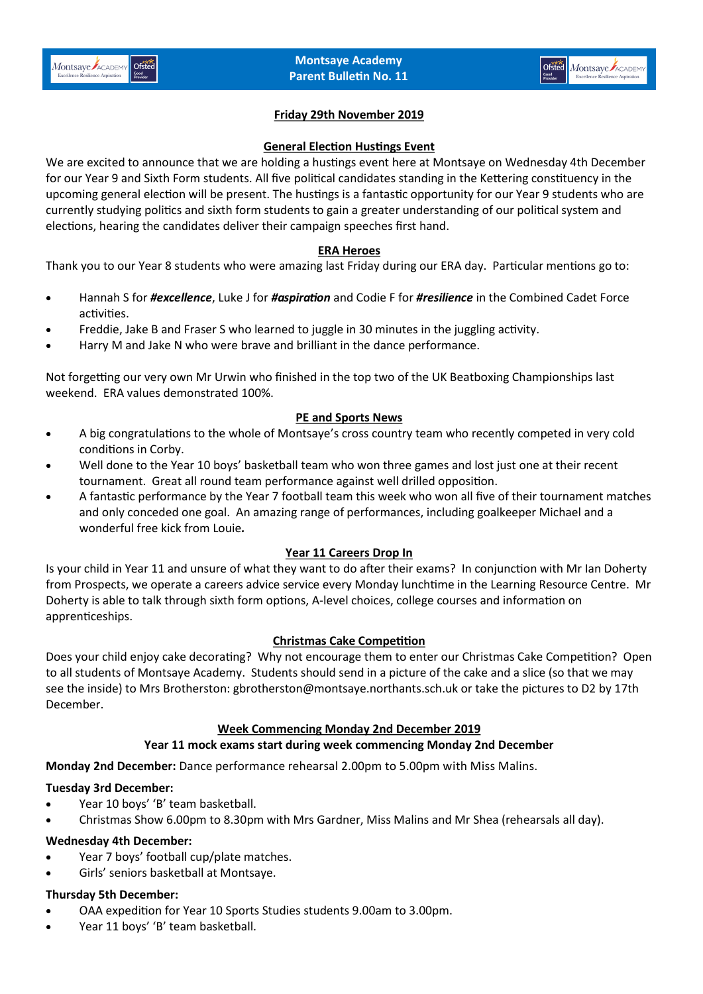

## **Friday 29th November 2019**

### **General Election Hustings Event**

We are excited to announce that we are holding a hustings event here at Montsaye on Wednesday 4th December for our Year 9 and Sixth Form students. All five political candidates standing in the Kettering constituency in the upcoming general election will be present. The hustings is a fantastic opportunity for our Year 9 students who are currently studying politics and sixth form students to gain a greater understanding of our political system and elections, hearing the candidates deliver their campaign speeches first hand.

## **ERA Heroes**

Thank you to our Year 8 students who were amazing last Friday during our ERA day. Particular mentions go to:

- Hannah S for *#excellence*, Luke J for *#aspiration* and Codie F for *#resilience* in the Combined Cadet Force activities.
- Freddie, Jake B and Fraser S who learned to juggle in 30 minutes in the juggling activity.
- Harry M and Jake N who were brave and brilliant in the dance performance.

Not forgetting our very own Mr Urwin who finished in the top two of the UK Beatboxing Championships last weekend. ERA values demonstrated 100%.

### **PE and Sports News**

- A big congratulations to the whole of Montsaye's cross country team who recently competed in very cold conditions in Corby.
- Well done to the Year 10 boys' basketball team who won three games and lost just one at their recent tournament. Great all round team performance against well drilled opposition.
- A fantastic performance by the Year 7 football team this week who won all five of their tournament matches and only conceded one goal. An amazing range of performances, including goalkeeper Michael and a wonderful free kick from Louie*.*

#### **Year 11 Careers Drop In**

Is your child in Year 11 and unsure of what they want to do after their exams? In conjunction with Mr Ian Doherty from Prospects, we operate a careers advice service every Monday lunchtime in the Learning Resource Centre. Mr Doherty is able to talk through sixth form options, A-level choices, college courses and information on apprenticeships.

#### **Christmas Cake Competition**

Does your child enjoy cake decorating? Why not encourage them to enter our Christmas Cake Competition? Open to all students of Montsaye Academy. Students should send in a picture of the cake and a slice (so that we may see the inside) to Mrs Brotherston: gbrotherston@montsaye.northants.sch.uk or take the pictures to D2 by 17th December.

#### **Week Commencing Monday 2nd December 2019**

## **Year 11 mock exams start during week commencing Monday 2nd December**

**Monday 2nd December:** Dance performance rehearsal 2.00pm to 5.00pm with Miss Malins.

## **Tuesday 3rd December:**

- Year 10 boys' 'B' team basketball.
- Christmas Show 6.00pm to 8.30pm with Mrs Gardner, Miss Malins and Mr Shea (rehearsals all day).

#### **Wednesday 4th December:**

- Year 7 boys' football cup/plate matches.
- Girls' seniors basketball at Montsaye.

#### **Thursday 5th December:**

- OAA expedition for Year 10 Sports Studies students 9.00am to 3.00pm.
- Year 11 boys' 'B' team basketball.